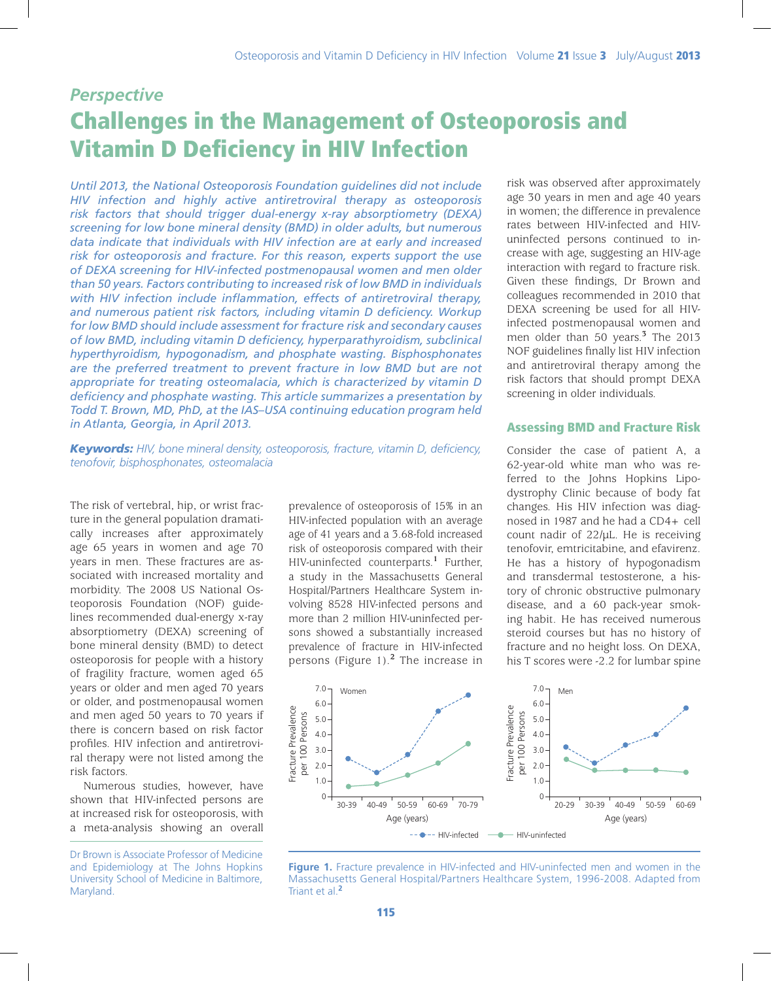# *Perspective* Challenges in the Management of Osteoporosis and Vitamin D Deficiency in HIV Infection

*Until 2013, the National Osteoporosis Foundation guidelines did not include HIV infection and highly active antiretroviral therapy as osteoporosis risk factors that should trigger dual-energy x-ray absorptiometry (DEXA) screening for low bone mineral density (BMD) in older adults, but numerous data indicate that individuals with HIV infection are at early and increased risk for osteoporosis and fracture. For this reason, experts support the use of DEXA screening for HIV-infected postmenopausal women and men older than 50 years. Factors contributing to increased risk of low BMD in individuals with HIV infection include inflammation, effects of antiretroviral therapy, and numerous patient risk factors, including vitamin D deficiency. Workup for low BMD should include assessment for fracture risk and secondary causes of low BMD, including vitamin D deficiency, hyperparathyroidism, subclinical hyperthyroidism, hypogonadism, and phosphate wasting. Bisphosphonates are the preferred treatment to prevent fracture in low BMD but are not appropriate for treating osteomalacia, which is characterized by vitamin D deficiency and phosphate wasting. This article summarizes a presentation by Todd T. Brown, MD, PhD, at the IAS–USA continuing education program held in Atlanta, Georgia, in April 2013.*

*Keywords: HIV, bone mineral density, osteoporosis, fracture, vitamin D, deficiency, tenofovir, bisphosphonates, osteomalacia*

The risk of vertebral, hip, or wrist fracture in the general population dramatically increases after approximately age 65 years in women and age 70 years in men. These fractures are associated with increased mortality and morbidity. The 2008 US National Osteoporosis Foundation (NOF) guidelines recommended dual-energy x-ray absorptiometry (DEXA) screening of bone mineral density (BMD) to detect osteoporosis for people with a history of fragility fracture, women aged 65 years or older and men aged 70 years or older, and postmenopausal women and men aged 50 years to 70 years if there is concern based on risk factor profiles. HIV infection and antiretroviral therapy were not listed among the risk factors.

Numerous studies, however, have shown that HIV-infected persons are at increased risk for osteoporosis, with a meta-analysis showing an overall

Dr Brown is Associate Professor of Medicine and Epidemiology at The Johns Hopkins University School of Medicine in Baltimore, Maryland.

prevalence of osteoporosis of 15% in an HIV-infected population with an average age of 41 years and a 3.68-fold increased risk of osteoporosis compared with their HIV-uninfected counterparts.**<sup>1</sup>** Further, a study in the Massachusetts General Hospital/Partners Healthcare System involving 8528 HIV-infected persons and more than 2 million HIV-uninfected persons showed a substantially increased prevalence of fracture in HIV-infected persons (Figure 1).**<sup>2</sup>** The increase in

risk was observed after approximately age 30 years in men and age 40 years in women; the difference in prevalence rates between HIV-infected and HIVuninfected persons continued to increase with age, suggesting an HIV-age interaction with regard to fracture risk. Given these findings, Dr Brown and colleagues recommended in 2010 that DEXA screening be used for all HIVinfected postmenopausal women and men older than 50 years.**<sup>3</sup>** The 2013 NOF guidelines finally list HIV infection and antiretroviral therapy among the risk factors that should prompt DEXA screening in older individuals.

### Assessing BMD and Fracture Risk

Consider the case of patient A, a 62-year-old white man who was referred to the Johns Hopkins Lipodystrophy Clinic because of body fat changes. His HIV infection was diagnosed in 1987 and he had a CD4+ cell count nadir of 22/uL. He is receiving tenofovir, emtricitabine, and efavirenz. He has a history of hypogonadism and transdermal testosterone, a history of chronic obstructive pulmonary disease, and a 60 pack-year smoking habit. He has received numerous steroid courses but has no history of fracture and no height loss. On DEXA, his T scores were -2.2 for lumbar spine



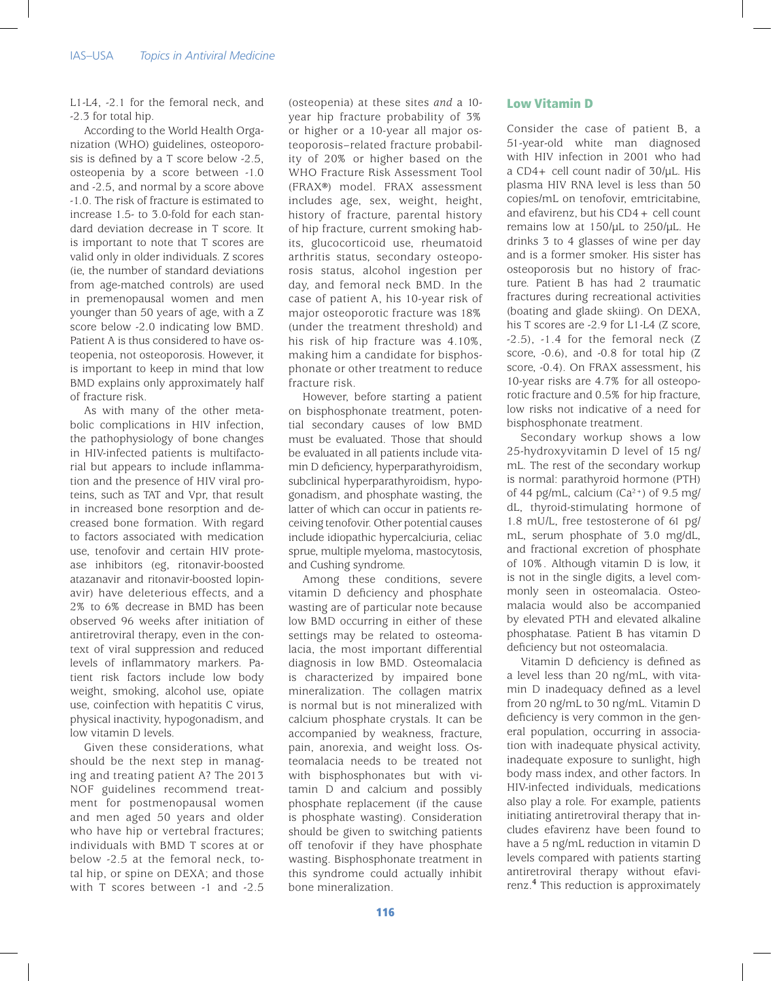L1-L4, -2.1 for the femoral neck, and -2.3 for total hip.

According to the World Health Organization (WHO) guidelines, osteoporosis is defined by a T score below -2.5, osteopenia by a score between -1.0 and -2.5, and normal by a score above -1.0. The risk of fracture is estimated to increase 1.5- to 3.0-fold for each standard deviation decrease in T score. It is important to note that T scores are valid only in older individuals. Z scores (ie, the number of standard deviations from age-matched controls) are used in premenopausal women and men younger than 50 years of age, with a Z score below -2.0 indicating low BMD. Patient A is thus considered to have osteopenia, not osteoporosis. However, it is important to keep in mind that low BMD explains only approximately half of fracture risk.

As with many of the other metabolic complications in HIV infection, the pathophysiology of bone changes in HIV-infected patients is multifactorial but appears to include inflammation and the presence of HIV viral proteins, such as TAT and Vpr, that result in increased bone resorption and decreased bone formation. With regard to factors associated with medication use, tenofovir and certain HIV protease inhibitors (eg, ritonavir-boosted atazanavir and ritonavir-boosted lopinavir) have deleterious effects, and a 2% to 6% decrease in BMD has been observed 96 weeks after initiation of antiretroviral therapy, even in the context of viral suppression and reduced levels of inflammatory markers. Patient risk factors include low body weight, smoking, alcohol use, opiate use, coinfection with hepatitis C virus, physical inactivity, hypogonadism, and low vitamin D levels.

Given these considerations, what should be the next step in managing and treating patient A? The 2013 NOF guidelines recommend treatment for postmenopausal women and men aged 50 years and older who have hip or vertebral fractures: individuals with BMD T scores at or below -2.5 at the femoral neck, total hip, or spine on DEXA; and those with T scores between -1 and -2.5

(osteopenia) at these sites *and* a 10 year hip fracture probability of 3% or higher or a 10-year all major osteoporosis–related fracture probability of 20% or higher based on the WHO Fracture Risk Assessment Tool (FRAX®) model. FRAX assessment includes age, sex, weight, height, history of fracture, parental history of hip fracture, current smoking habits, glucocorticoid use, rheumatoid arthritis status, secondary osteoporosis status, alcohol ingestion per day, and femoral neck BMD. In the case of patient A, his 10-year risk of major osteoporotic fracture was 18% (under the treatment threshold) and his risk of hip fracture was 4.10%, making him a candidate for bisphosphonate or other treatment to reduce fracture risk.

However, before starting a patient on bisphosphonate treatment, potential secondary causes of low BMD must be evaluated. Those that should be evaluated in all patients include vitamin D deficiency, hyperparathyroidism, subclinical hyperparathyroidism, hypogonadism, and phosphate wasting, the latter of which can occur in patients receiving tenofovir. Other potential causes include idiopathic hypercalciuria, celiac sprue, multiple myeloma, mastocytosis, and Cushing syndrome.

Among these conditions, severe vitamin D deficiency and phosphate wasting are of particular note because low BMD occurring in either of these settings may be related to osteomalacia, the most important differential diagnosis in low BMD. Osteomalacia is characterized by impaired bone mineralization. The collagen matrix is normal but is not mineralized with calcium phosphate crystals. It can be accompanied by weakness, fracture, pain, anorexia, and weight loss. Osteomalacia needs to be treated not with bisphosphonates but with vitamin D and calcium and possibly phosphate replacement (if the cause is phosphate wasting). Consideration should be given to switching patients off tenofovir if they have phosphate wasting. Bisphosphonate treatment in this syndrome could actually inhibit bone mineralization.

## Low Vitamin D

Consider the case of patient B, a 51-year-old white man diagnosed with HIV infection in 2001 who had a CD4+ cell count nadir of 30/µL. His plasma HIV RNA level is less than 50 copies/mL on tenofovir, emtricitabine, and efavirenz, but his CD4+ cell count remains low at  $150/\mu$ L to  $250/\mu$ L. He drinks 3 to 4 glasses of wine per day and is a former smoker. His sister has osteoporosis but no history of fracture. Patient B has had 2 traumatic fractures during recreational activities (boating and glade skiing). On DEXA, his T scores are -2.9 for L1-L4 (Z score,  $-2.5$ ),  $-1.4$  for the femoral neck (Z score, -0.6), and -0.8 for total hip (Z score, -0.4). On FRAX assessment, his 10-year risks are 4.7% for all osteoporotic fracture and 0.5% for hip fracture, low risks not indicative of a need for bisphosphonate treatment.

Secondary workup shows a low 25-hydroxyvitamin D level of 15 ng/ mL. The rest of the secondary workup is normal: parathyroid hormone (PTH) of 44 pg/mL, calcium  $(Ca^{2+})$  of 9.5 mg/ dL, thyroid-stimulating hormone of 1.8 mU/L, free testosterone of 61 pg/ mL, serum phosphate of 3.0 mg/dL, and fractional excretion of phosphate of 10%. Although vitamin D is low, it is not in the single digits, a level commonly seen in osteomalacia. Osteomalacia would also be accompanied by elevated PTH and elevated alkaline phosphatase. Patient B has vitamin D deficiency but not osteomalacia.

Vitamin D deficiency is defined as a level less than 20 ng/mL, with vitamin D inadequacy defined as a level from 20 ng/mL to 30 ng/mL. Vitamin D deficiency is very common in the general population, occurring in association with inadequate physical activity, inadequate exposure to sunlight, high body mass index, and other factors. In HIV-infected individuals, medications also play a role. For example, patients initiating antiretroviral therapy that includes efavirenz have been found to have a 5 ng/mL reduction in vitamin D levels compared with patients starting antiretroviral therapy without efavirenz.**<sup>4</sup>** This reduction is approximately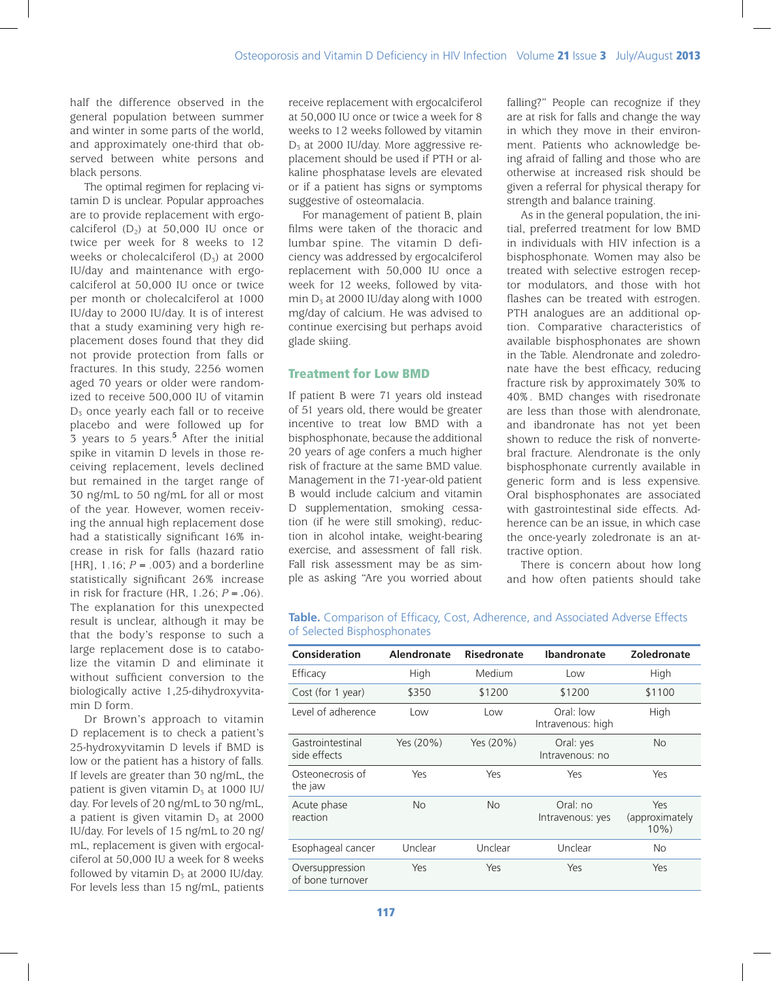half the difference observed in the general population between summer and winter in some parts of the world, and approximately one-third that observed between white persons and black persons.

The optimal regimen for replacing vitamin D is unclear. Popular approaches are to provide replacement with ergocalciferol  $(D_2)$  at 50,000 IU once or twice per week for 8 weeks to 12 weeks or cholecalciferol  $(D_5)$  at 2000 IU/day and maintenance with ergocalciferol at 50,000 IU once or twice per month or cholecalciferol at 1000 IU/day to 2000 IU/day. It is of interest that a study examining very high replacement doses found that they did not provide protection from falls or fractures. In this study, 2256 women aged 70 years or older were randomized to receive 500,000 IU of vitamin  $D_3$  once yearly each fall or to receive placebo and were followed up for 3 years to 5 years.**<sup>5</sup>** After the initial spike in vitamin D levels in those receiving replacement, levels declined but remained in the target range of 30 ng/mL to 50 ng/mL for all or most of the year. However, women receiving the annual high replacement dose had a statistically significant 16% increase in risk for falls (hazard ratio [HR], 1.16; *P* = .003) and a borderline statistically significant 26% increase in risk for fracture (HR, 1.26; *P* = .06). The explanation for this unexpected result is unclear, although it may be that the body's response to such a large replacement dose is to catabolize the vitamin D and eliminate it without sufficient conversion to the biologically active 1,25-dihydroxyvitamin D form.

Dr Brown's approach to vitamin D replacement is to check a patient's 25-hydroxyvitamin D levels if BMD is low or the patient has a history of falls. If levels are greater than 30 ng/mL, the patient is given vitamin  $D_5$  at 1000 IU/ day. For levels of 20 ng/mL to 30 ng/mL, a patient is given vitamin  $D_5$  at 2000 IU/day. For levels of 15 ng/mL to 20 ng/ mL, replacement is given with ergocalciferol at 50,000 IU a week for 8 weeks followed by vitamin  $D_3$  at 2000 IU/day. For levels less than 15 ng/mL, patients receive replacement with ergocalciferol at 50,000 IU once or twice a week for 8 weeks to 12 weeks followed by vitamin  $D_5$  at 2000 IU/day. More aggressive replacement should be used if PTH or alkaline phosphatase levels are elevated or if a patient has signs or symptoms suggestive of osteomalacia.

For management of patient B, plain films were taken of the thoracic and lumbar spine. The vitamin D deficiency was addressed by ergocalciferol replacement with 50,000 IU once a week for 12 weeks, followed by vitamin  $D_3$  at 2000 IU/day along with 1000 mg/day of calcium. He was advised to continue exercising but perhaps avoid glade skiing.

# Treatment for Low BMD

If patient B were 71 years old instead of 51 years old, there would be greater incentive to treat low BMD with a bisphosphonate, because the additional 20 years of age confers a much higher risk of fracture at the same BMD value. Management in the 71-year-old patient B would include calcium and vitamin D supplementation, smoking cessation (if he were still smoking), reduction in alcohol intake, weight-bearing exercise, and assessment of fall risk. Fall risk assessment may be as simple as asking "Are you worried about falling?" People can recognize if they are at risk for falls and change the way in which they move in their environment. Patients who acknowledge being afraid of falling and those who are otherwise at increased risk should be given a referral for physical therapy for strength and balance training.

As in the general population, the initial, preferred treatment for low BMD in individuals with HIV infection is a bisphosphonate. Women may also be treated with selective estrogen receptor modulators, and those with hot flashes can be treated with estrogen. PTH analogues are an additional option. Comparative characteristics of available bisphosphonates are shown in the Table. Alendronate and zoledronate have the best efficacy, reducing fracture risk by approximately 30% to 40%. BMD changes with risedronate are less than those with alendronate, and ibandronate has not yet been shown to reduce the risk of nonvertebral fracture. Alendronate is the only bisphosphonate currently available in generic form and is less expensive. Oral bisphosphonates are associated with gastrointestinal side effects. Adherence can be an issue, in which case the once-yearly zoledronate is an attractive option.

There is concern about how long and how often patients should take

| Consideration                       | Alendronate | <b>Risedronate</b> | <b>Ibandronate</b>             | Zoledronate                       |
|-------------------------------------|-------------|--------------------|--------------------------------|-----------------------------------|
| Efficacy                            | High        | Medium             | Low                            | High                              |
| Cost (for 1 year)                   | \$350       | \$1200             | \$1200                         | \$1100                            |
| Level of adherence                  | Low         | Low                | Oral: low<br>Intravenous: high | High                              |
| Gastrointestinal<br>side effects    | Yes (20%)   | Yes (20%)          | Oral: yes<br>Intravenous: no   | <b>No</b>                         |
| Osteonecrosis of<br>the jaw         | Yes         | Yes                | Yes                            | Yes                               |
| Acute phase<br>reaction             | <b>No</b>   | <b>No</b>          | Oral: no<br>Intravenous: yes   | Yes<br>(approximately<br>$10\%$ ) |
| Esophageal cancer                   | Unclear     | Unclear            | Unclear                        | <b>No</b>                         |
| Oversuppression<br>of bone turnover | Yes         | Yes                | Yes                            | Yes                               |

**Table.** Comparison of Efficacy, Cost, Adherence, and Associated Adverse Effects of Selected Bisphosphonates